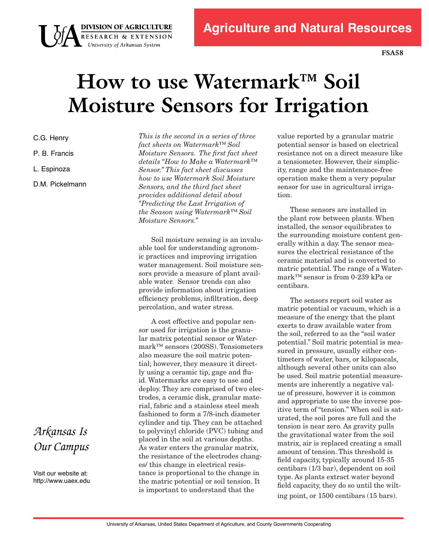**FSA58**

# **How to use Watermark™ Soil Moisture Sensors for Irrigation**

C.G. Henry

**DIVISION OF AGRICULTURE**<br>RESEARCH & EXTENSION<br>University of Arkansas System

P. B. Francis

L. Espinoza

D.M. Pickelmann

*This is the second in a series of three fact sheets on Watermark™ Soil Moisture Sensors. The first fact sheet details "How to Make a Watermark™ Sensor." This fact sheet discusses how to use Watermark Soil Moisture Sensors, and the third fact sheet provides additional detail about "Predicting the Last Irrigation of the Season using Watermark™ Soil Moisture Sensors."*

Soil moisture sensing is an invaluable tool for understanding agronomic practices and improving irrigation water management. Soil moisture sensors provide a measure of plant available water. Sensor trends can also provide information about irrigation efficiency problems, infiltration, deep percolation, and water stress.

A cost effective and popular sensor used for irrigation is the granular matrix potential sensor or Watermark™ sensors (200SS). Tensiometers also measure the soil matric potential; however, they measure it directly using a ceramic tip, gage and fluid. Watermarks are easy to use and deploy. They are comprised of two electrodes, a ceramic disk, granular material, fabric and a stainless steel mesh fashioned to form a 7/8-inch diameter cylinder and tip. They can be attached to polyvinyl chloride (PVC) tubing and placed in the soil at various depths. As water enters the granular matrix, the resistance of the electrodes changes/ this change in electrical resistance is proportional to the change in the matric potential or soil tension. It is important to understand that the

value reported by a granular matric potential sensor is based on electrical resistance not on a direct measure like a tensiometer. However, their simplicity, range and the maintenance-free operation make them a very popular sensor for use in agricultural irrigation.

These sensors are installed in the plant row between plants. When installed, the sensor equilibrates to the surrounding moisture content generally within a day. The sensor measures the electrical resistance of the ceramic material and is converted to matric potential. The range of a Watermark™ sensor is from 0-239 kPa or centibars.

The sensors report soil water as matric potential or vacuum, which is a measure of the energy that the plant exerts to draw available water from the soil, referred to as the "soil water potential." Soil matric potential is measured in pressure, usually either centimeters of water, bars, or kilopascals, although several other units can also be used. Soil matric potential measurements are inherently a negative value of pressure, however it is common and appropriate to use the inverse positive term of "tension." When soil is saturated, the soil pores are full and the tension is near zero. As gravity pulls the gravitational water from the soil matrix, air is replaced creating a small amount of tension. This threshold is field capacity, typically around 15-35 centibars (1/3 bar), dependent on soil type. As plants extract water beyond field capacity, they do so until the wilting point, or 1500 centibars (15 bars).

## *Arkansas Is Our Campus*

Visit our website at: http://www.uaex.edu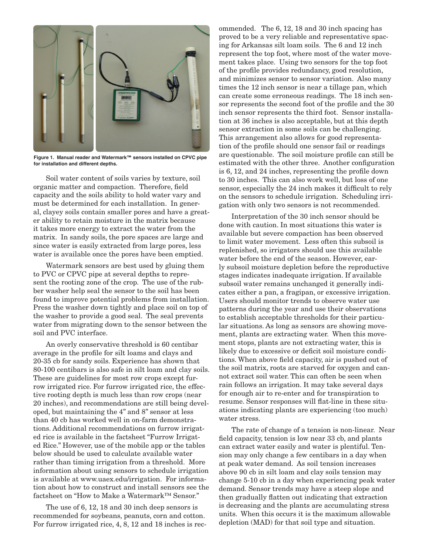

**Figure 1. Manual reader and Watermark™ sensors installed on CPVC pipe for installation and different depths.**

Soil water content of soils varies by texture, soil organic matter and compaction. Therefore, field capacity and the soils ability to hold water vary and must be determined for each installation. In general, clayey soils contain smaller pores and have a greater ability to retain moisture in the matrix because it takes more energy to extract the water from the matrix. In sandy soils, the pore spaces are large and since water is easily extracted from large pores, less water is available once the pores have been emptied.

Watermark sensors are best used by gluing them to PVC or CPVC pipe at several depths to represent the rooting zone of the crop. The use of the rubber washer help seal the sensor to the soil has been found to improve potential problems from installation. Press the washer down tightly and place soil on top of the washer to provide a good seal. The seal prevents water from migrating down to the sensor between the soil and PVC interface.

An overly conservative threshold is 60 centibar average in the profile for silt loams and clays and 20-35 cb for sandy soils. Experience has shown that 80-100 centibars is also safe in silt loam and clay soils. These are guidelines for most row crops except furrow irrigated rice. For furrow irrigated rice, the effective rooting depth is much less than row crops (near 20 inches), and recommendations are still being developed, but maintaining the 4" and 8" sensor at less than 40 cb has worked well in on-farm demonstrations. Additional recommendations on furrow irrigated rice is available in the factsheet "Furrow Irrigated Rice." However, use of the mobile app or the tables below should be used to calculate available water rather than timing irrigation from a threshold. More information about using sensors to schedule irrigation is available at www.uaex.edu/irrigation. For information about how to construct and install sensors see the factsheet on "How to Make a Watermark™ Sensor."

The use of 6, 12, 18 and 30 inch deep sensors is recommended for soybeans, peanuts, corn and cotton. For furrow irrigated rice, 4, 8, 12 and 18 inches is recommended. The 6, 12, 18 and 30 inch spacing has proved to be a very reliable and representative spacing for Arkansas silt loam soils. The 6 and 12 inch represent the top foot, where most of the water movement takes place. Using two sensors for the top foot of the profile provides redundancy, good resolution, and minimizes sensor to sensor variation. Also many times the 12 inch sensor is near a tillage pan, which can create some erroneous readings. The 18 inch sensor represents the second foot of the profile and the 30 inch sensor represents the third foot. Sensor installation at 36 inches is also acceptable, but at this depth sensor extraction in some soils can be challenging. This arrangement also allows for good representation of the profile should one sensor fail or readings are questionable. The soil moisture profile can still be estimated with the other three. Another configuration is 6, 12, and 24 inches, representing the profile down to 30 inches. This can also work well, but loss of one sensor, especially the 24 inch makes it difficult to rely on the sensors to schedule irrigation. Scheduling irrigation with only two sensors is not recommended.

Interpretation of the 30 inch sensor should be done with caution. In most situations this water is available but severe compaction has been observed to limit water movement. Less often this subsoil is replenished, so irrigators should use this available water before the end of the season. However, early subsoil moisture depletion before the reproductive stages indicates inadequate irrigation. If available subsoil water remains unchanged it generally indicates either a pan, a fragipan, or excessive irrigation. Users should monitor trends to observe water use patterns during the year and use their observations to establish acceptable thresholds for their particular situations. As long as sensors are showing movement, plants are extracting water. When this movement stops, plants are not extracting water, this is likely due to excessive or deficit soil moisture conditions. When above field capacity, air is pushed out of the soil matrix, roots are starved for oxygen and cannot extract soil water. This can often be seen when rain follows an irrigation. It may take several days for enough air to re-enter and for transpiration to resume. Sensor responses will flat-line in these situations indicating plants are experiencing (too much) water stress.

The rate of change of a tension is non-linear. Near field capacity, tension is low near 33 cb, and plants can extract water easily and water is plentiful. Tension may only change a few centibars in a day when at peak water demand. As soil tension increases above 90 cb in silt loam and clay soils tension may change 5-10 cb in a day when experiencing peak water demand. Sensor trends may have a steep slope and then gradually flatten out indicating that extraction is decreasing and the plants are accumulating stress units. When this occurs it is the maximum allowable depletion (MAD) for that soil type and situation.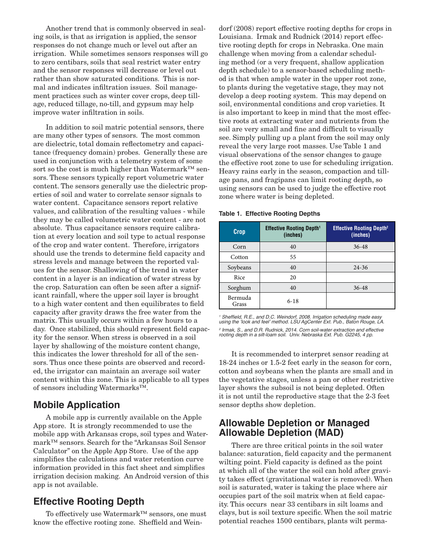Another trend that is commonly observed in sealing soils, is that as irrigation is applied, the sensor responses do not change much or level out after an irrigation. While sometimes sensors responses will go to zero centibars, soils that seal restrict water entry and the sensor responses will decrease or level out rather than show saturated conditions. This is normal and indicates infiltration issues. Soil management practices such as winter cover crops, deep tillage, reduced tillage, no-till, and gypsum may help improve water infiltration in soils.

In addition to soil matric potential sensors, there are many other types of sensors. The most common are dielectric, total domain reflectometry and capacitance (frequency domain) probes. Generally these are used in conjunction with a telemetry system of some sort so the cost is much higher than Watermark™ sensors. These sensors typically report volumetric water content. The sensors generally use the dielectric properties of soil and water to correlate sensor signals to water content. Capacitance sensors report relative values, and calibration of the resulting values - while they may be called volumetric water content - are not absolute. Thus capacitance sensors require calibration at every location and soil type to actual response of the crop and water content. Therefore, irrigators should use the trends to determine field capacity and stress levels and manage between the reported values for the sensor. Shallowing of the trend in water content in a layer is an indication of water stress by the crop. Saturation can often be seen after a significant rainfall, where the upper soil layer is brought to a high water content and then equilibrates to field capacity after gravity draws the free water from the matrix. This usually occurs within a few hours to a day. Once stabilized, this should represent field capacity for the sensor. When stress is observed in a soil layer by shallowing of the moisture content change, this indicates the lower threshold for all of the sensors. Thus once these points are observed and recorded, the irrigator can maintain an average soil water content within this zone. This is applicable to all types of sensors including Watermarks™.

#### **Mobile Application**

A mobile app is currently available on the Apple App store. It is strongly recommended to use the mobile app with Arkansas crops, soil types and Watermark™ sensors. Search for the "Arkansas Soil Sensor Calculator" on the Apple App Store. Use of the app simplifies the calculations and water retention curve information provided in this fact sheet and simplifies irrigation decision making. An Android version of this app is not available.

#### **Effective Rooting Depth**

To effectively use Watermark™ sensors, one must know the effective rooting zone. Sheffield and Weindorf (2008) report effective rooting depths for crops in Louisiana. Irmak and Rudnick (2014) report effective rooting depth for crops in Nebraska. One main challenge when moving from a calendar scheduling method (or a very frequent, shallow application depth schedule) to a sensor-based scheduling method is that when ample water in the upper root zone, to plants during the vegetative stage, they may not develop a deep rooting system. This may depend on soil, environmental conditions and crop varieties. It is also important to keep in mind that the most effective roots at extracting water and nutrients from the soil are very small and fine and difficult to visually see. Simply pulling up a plant from the soil may only reveal the very large root masses. Use Table 1 and visual observations of the sensor changes to gauge the effective root zone to use for scheduling irrigation. Heavy rains early in the season, compaction and tillage pans, and fragipans can limit rooting depth, so using sensors can be used to judge the effective root zone where water is being depleted.

**Table 1. Effective Rooting Depths**

| Crop             | <b>Effective Rooting Depth<sup>1</sup></b><br>(inches) | <b>Effective Rooting Depth<sup>2</sup></b><br>(inches) |
|------------------|--------------------------------------------------------|--------------------------------------------------------|
| Corn             | 40                                                     | $36 - 48$                                              |
| Cotton           | 55                                                     |                                                        |
| Soybeans         | 40                                                     | $24 - 36$                                              |
| Rice             | 20                                                     |                                                        |
| Sorghum          | 40                                                     | $36 - 48$                                              |
| Bermuda<br>Grass | $6 - 18$                                               |                                                        |

*1* Sheffield, R.E., and D.C. Weindorf, 2008. Irrigation scheduling made easy using the 'look and feel' method. LSU AgCenter Ext. Pub., Baton Rouge, LA. 2 Irmak, S., and D.R. Rudnick, 2014. Corn soil-water extraction and effective rooting depth in a silt-loam soil. Univ. Nebraska Ext. Pub. G2245, 4 pp.

It is recommended to interpret sensor reading at 18-24 inches or 1.5-2 feet early in the season for corn, cotton and soybeans when the plants are small and in the vegetative stages, unless a pan or other restrictive layer shows the subsoil is not being depleted. Often it is not until the reproductive stage that the 2-3 feet sensor depths show depletion.

#### **Allowable Depletion or Managed Allowable Depletion (MAD)**

There are three critical points in the soil water balance: saturation, field capacity and the permanent wilting point. Field capacity is defined as the point at which all of the water the soil can hold after gravity takes effect (gravitational water is removed). When soil is saturated, water is taking the place where air occupies part of the soil matrix when at field capacity. This occurs near 33 centibars in silt loams and clays, but is soil texture specific. When the soil matric potential reaches 1500 centibars, plants wilt perma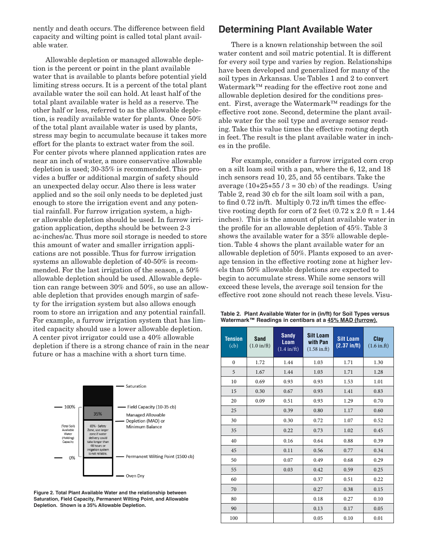nently and death occurs. The difference between field capacity and wilting point is called total plant available water.

Allowable depletion or managed allowable depletion is the percent or point in the plant available water that is available to plants before potential yield limiting stress occurs. It is a percent of the total plant available water the soil can hold. At least half of the total plant available water is held as a reserve. The other half or less, referred to as the allowable depletion, is readily available water for plants. Once 50% of the total plant available water is used by plants, stress may begin to accumulate because it takes more effort for the plants to extract water from the soil. For center pivots where planned application rates are near an inch of water, a more conservative allowable depletion is used; 30-35% is recommended. This provides a buffer or additional margin of safety should an unexpected delay occur. Also there is less water applied and so the soil only needs to be depleted just enough to store the irrigation event and any potential rainfall. For furrow irrigation system, a higher allowable depletion should be used. In furrow irrigation application, depths should be between 2-3 ac-inches/ac. Thus more soil storage is needed to store this amount of water and smaller irrigation applications are not possible. Thus for furrow irrigation systems an allowable depletion of 40-50% is recommended. For the last irrigation of the season, a 50% allowable depletion should be used. Allowable depletion can range between 30% and 50%, so use an allowable depletion that provides enough margin of safety for the irrigation system but also allows enough room to store an irrigation and any potential rainfall. For example, a furrow irrigation system that has limited capacity should use a lower allowable depletion. A center pivot irrigator could use a 40% allowable depletion if there is a strong chance of rain in the near future or has a machine with a short turn time.



**Figure 2. Total Plant Available Water and the relationship between Saturation, Field Capacity, Permanent Wilting Point, and Allowable Depletion. Shown is a 35% Allowable Depletion.**

#### **Determining Plant Available Water**

There is a known relationship between the soil water content and soil matric potential. It is different for every soil type and varies by region. Relationships have been developed and generalized for many of the soil types in Arkansas. Use Tables 1 and 2 to convert Watermark™ reading for the effective root zone and allowable depletion desired for the conditions present. First, average the Watermark™ readings for the effective root zone. Second, determine the plant available water for the soil type and average sensor reading. Take this value times the effective rooting depth in feet. The result is the plant available water in inches in the profile.

For example, consider a furrow irrigated corn crop on a silt loam soil with a pan, where the 6, 12, and 18 inch sensors read 10, 25, and 55 centibars. Take the average  $(10+25+55/3=30$  cb) of the readings. Using Table 2, read 30 cb for the silt loam soil with a pan, to find 0.72 in/ft. Multiply 0.72 in/ft times the effective rooting depth for corn of 2 feet  $(0.72 \times 2.0 \text{ ft} = 1.44)$ inches). This is the amount of plant available water in the profile for an allowable depletion of 45%. Table 3 shows the available water for a 35% allowable depletion. Table 4 shows the plant available water for an allowable depletion of 50%. Plants exposed to an average tension in the effective rooting zone at higher levels than 50% allowable depletions are expected to begin to accumulate stress. While some sensors will exceed these levels, the average soil tension for the effective root zone should not reach these levels. Visu-

|  | Table 2. Plant Available Water for in (in/ft) for Soil Types versus |  |  |  |
|--|---------------------------------------------------------------------|--|--|--|
|  | Watermark™ Readings in centibars at a 45% MAD (furrow).             |  |  |  |

| <b>Tension</b><br>(cb) | Sand<br>$(1.0 \text{ in/ft})$ | <b>Sandy</b><br>Loam<br>$(1.4 \text{ in/ft})$ | <b>Silt Loam</b><br>with Pan<br>$(1.58 \text{ in.ft})$ | <b>Silt Loam</b><br>$(2.37 \infty)$ | Clay<br>$(1.6 \text{ in.ft})$ |
|------------------------|-------------------------------|-----------------------------------------------|--------------------------------------------------------|-------------------------------------|-------------------------------|
| $\mathbf{0}$           | 1.72                          | 1.44                                          | 1.03                                                   | 1.71                                | 1.30                          |
| 5                      | 1.67                          | 1.44                                          | 1.03                                                   | 1.71                                | 1.28                          |
| 10                     | 0.69                          | 0.93                                          | 0.93                                                   | 1.53                                | 1.01                          |
| 15                     | 0.30                          | 0.67                                          | 0.93                                                   | 1.41                                | 0.83                          |
| 20                     | 0.09                          | 0.51                                          | 0.93                                                   | 1.29                                | 0.70                          |
| 25                     |                               | 0.39                                          | 0.80                                                   | 1.17                                | 0.60                          |
| 30                     |                               | 0.30                                          | 0.72                                                   | 1.07                                | 0.52                          |
| 35                     |                               | 0.22                                          | 0.73                                                   | 1.02                                | 0.45                          |
| 40                     |                               | 0.16                                          | 0.64                                                   | 0.88                                | 0.39                          |
| 45                     |                               | 0.11                                          | 0.56                                                   | 0.77                                | 0.34                          |
| 50                     |                               | 0.07                                          | 0.49                                                   | 0.68                                | 0.29                          |
| 55                     |                               | 0.03                                          | 0.42                                                   | 0.59                                | 0.25                          |
| 60                     |                               |                                               | 0.37                                                   | 0.51                                | 0.22                          |
| 70                     |                               |                                               | 0.27                                                   | 0.38                                | 0.15                          |
| 80                     |                               |                                               | 0.18                                                   | 0.27                                | 0.10                          |
| 90                     |                               |                                               | 0.13                                                   | 0.17                                | 0.05                          |
| 100                    |                               |                                               | 0.05                                                   | 0.10                                | 0.01                          |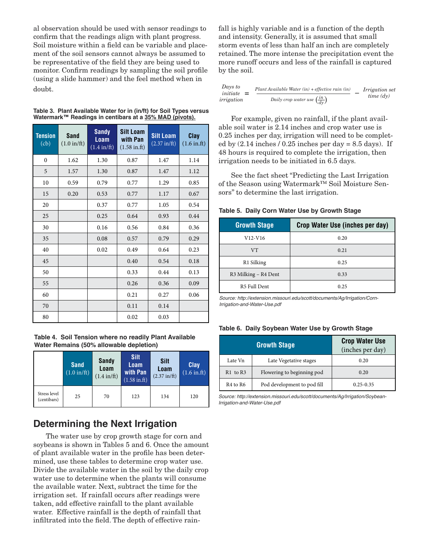al observation should be used with sensor readings to confirm that the readings align with plant progress. Soil moisture within a field can be variable and placement of the soil sensors cannot always be assumed to be representative of the field they are being used to monitor. Confirm readings by sampling the soil profile (using a slide hammer) and the feel method when in doubt.

| Table 3. Plant Available Water for in (in/ft) for Soil Types versus |  |
|---------------------------------------------------------------------|--|
| Watermark™ Readings in centibars at a 35% MAD (pivots).             |  |

| <b>Tension</b><br>(cb) | <b>Sand</b><br>$(1.0 \text{ in/ft})$ | <b>Sandy</b><br><b>Loam</b><br>$(1.4 \text{ in/ft})$ | <b>Silt Loam</b><br>with Pan<br>$(1.58 \text{ in.ft})$ | <b>Silt Loam</b><br>$(2.37 \text{ in/ft})$ | Clay<br>$(1.6 \text{ in.ft})$ |
|------------------------|--------------------------------------|------------------------------------------------------|--------------------------------------------------------|--------------------------------------------|-------------------------------|
| $\mathbf{0}$           | 1.62                                 | 1.30                                                 | 0.87                                                   | 1.47                                       | 1.14                          |
| 5                      | 1.57                                 | 1.30                                                 | 0.87                                                   | 1.47                                       | 1.12                          |
| 10                     | 0.59                                 | 0.79                                                 | 0.77                                                   | 1.29                                       | 0.85                          |
| 15                     | 0.20                                 | 0.53                                                 | 0.77                                                   | 1.17                                       | 0.67                          |
| 20                     |                                      | 0.37                                                 | 0.77                                                   | 1.05                                       | 0.54                          |
| 25                     |                                      | 0.25                                                 | 0.64                                                   | 0.93                                       | 0.44                          |
| 30                     |                                      | 0.16                                                 | 0.56                                                   | 0.84                                       | 0.36                          |
| 35                     |                                      | 0.08                                                 | 0.57                                                   | 0.79                                       | 0.29                          |
| 40                     |                                      | 0.02                                                 | 0.49                                                   | 0.64                                       | 0.23                          |
| 45                     |                                      |                                                      | 0.40                                                   | 0.54                                       | 0.18                          |
| 50                     |                                      |                                                      | 0.33                                                   | 0.44                                       | 0.13                          |
| 55                     |                                      |                                                      | 0.26                                                   | 0.36                                       | 0.09                          |
| 60                     |                                      |                                                      | 0.21                                                   | 0.27                                       | 0.06                          |
| 70                     |                                      |                                                      | 0.11                                                   | 0.14                                       |                               |
| 80                     |                                      |                                                      | 0.02                                                   | 0.03                                       |                               |

**Table 4. Soil Tension where no readily Plant Available Water Remains (50% allowable depletion)**

|                             | <b>Sand</b><br>$(1.0 \text{ in/ft})$ | <b>Sandy</b><br>Loam<br>$(1.4 \text{ in/ft})$ | Silt<br>Loam<br>with Pan<br>$(1.58 \text{ in.} \text{ft})$ | Silt<br>Loam<br>$(2.37 \text{ in/ft})$ | <b>Clay</b><br>$(1.6 \text{ in.ft})$ |
|-----------------------------|--------------------------------------|-----------------------------------------------|------------------------------------------------------------|----------------------------------------|--------------------------------------|
| Stress level<br>(centibars) | 25                                   | 70                                            | 123                                                        | 134                                    | 120                                  |

### **Determining the Next Irrigation**

The water use by crop growth stage for corn and soybeans is shown in Tables 5 and 6. Once the amount of plant available water in the profile has been determined, use these tables to determine crop water use. Divide the available water in the soil by the daily crop water use to determine when the plants will consume the available water. Next, subtract the time for the irrigation set. If rainfall occurs after readings were taken, add effective rainfall to the plant available water. Effective rainfall is the depth of rainfall that infiltrated into the field. The depth of effective rainfall is highly variable and is a function of the depth and intensity. Generally, it is assumed that small storm events of less than half an inch are completely retained. The more intense the precipitation event the more runoff occurs and less of the rainfall is captured by the soil.

| Days to<br>$initiate =$ | $Plant \, Available \, Water \, (in) + effective \, rain \, (in)$ | <i>Irrigation</i> set |
|-------------------------|-------------------------------------------------------------------|-----------------------|
| irrigation              | Daily crop water use $\left(\frac{in}{dy}\right)$                 | $time$ $(dv)$         |

For example, given no rainfall, if the plant available soil water is 2.14 inches and crop water use is 0.25 inches per day, irrigation will need to be completed by  $(2.14 \text{ inches} / 0.25 \text{ inches per day} = 8.5 \text{ days})$ . If 48 hours is required to complete the irrigation, then irrigation needs to be initiated in 6.5 days.

See the fact sheet "Predicting the Last Irrigation of the Season using Watermark™ Soil Moisture Sensors" to determine the last irrigation.

|  |  |  | Table 5. Daily Corn Water Use by Growth Stage |  |
|--|--|--|-----------------------------------------------|--|
|--|--|--|-----------------------------------------------|--|

| <b>Growth Stage</b>  | Crop Water Use (inches per day) |
|----------------------|---------------------------------|
| V12-V16              | 0.20                            |
| <b>VT</b>            | 0.21                            |
| R1 Silking           | 0.25                            |
| R3 Milking - R4 Dent | 0.33                            |
| R5 Full Dent         | 0.25                            |

Source: http://extension.missouri.edu/scott/documents/Ag/Irrigation/Corn-Irrigation-and-Water-Use.pdf

|  |  |  | Table 6. Daily Soybean Water Use by Growth Stage |
|--|--|--|--------------------------------------------------|
|--|--|--|--------------------------------------------------|

|                                  | <b>Growth Stage</b>         | <b>Crop Water Use</b><br>(inches per day) |
|----------------------------------|-----------------------------|-------------------------------------------|
| Late Vn                          | Late Vegetative stages      | 0.20                                      |
| R1 to R3                         | Flowering to beginning pod  | 0.20                                      |
| R <sub>4</sub> to R <sub>6</sub> | Pod development to pod fill | $0.25 - 0.35$                             |

Source: http://extension.missouri.edu/scott/documents/Ag/Irrigation/Soybean-Irrigation-and-Water-Use.pdf